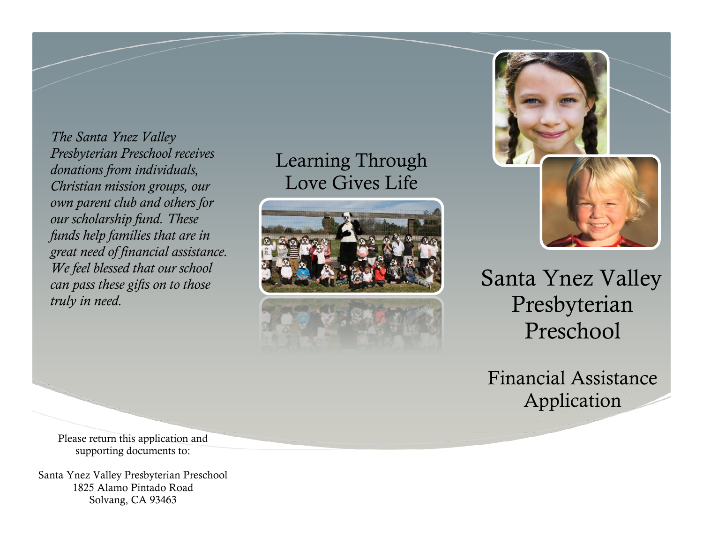*The Santa Ynez Valley Presbyterian Preschool receives donations from individuals, Christian mission groups, our own parent club and others for our scholarship fund. These funds help families that are in great need of financial assistance. We feel blessed that our school can pass these gifts on to those truly in need.* 

## Learning Through Love Gives Life





Santa Ynez Valley Presbyterian Preschool

Financial Assistance Application

Please return this application and supporting documents to:

Santa Ynez Valley Presbyterian Preschool 1825 Alamo Pintado Road Solvang, CA 93463